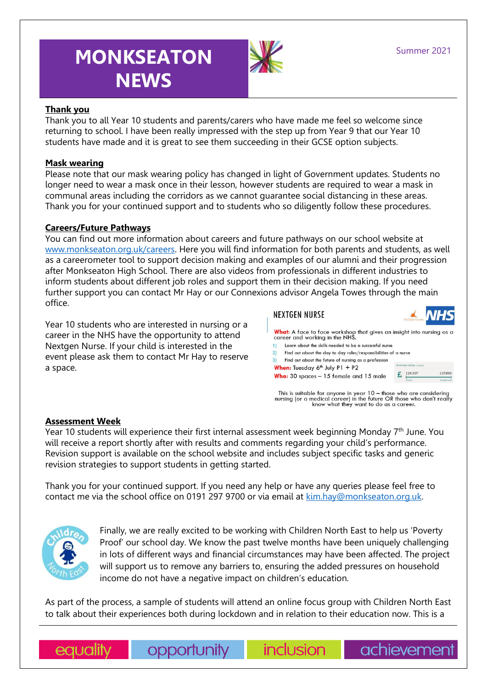# **MONKSEATON NEWS**



# **Thank you**

Thank you to all Year 10 students and parents/carers who have made me feel so welcome since returning to school. I have been really impressed with the step up from Year 9 that our Year 10 students have made and it is great to see them succeeding in their GCSE option subjects.

#### **Mask wearing**

Please note that our mask wearing policy has changed in light of Government updates. Students no longer need to wear a mask once in their lesson, however students are required to wear a mask in communal areas including the corridors as we cannot guarantee social distancing in these areas. Thank you for your continued support and to students who so diligently follow these procedures.

#### **Careers/Future Pathways**

You can find out more information about careers and future pathways on our school website at [www.monkseaton.org.uk/careers.](http://www.monkseaton.org.uk/careers) Here you will find information for both parents and students, as well as a careerometer tool to support decision making and examples of our alumni and their progression after Monkseaton High School. There are also videos from professionals in different industries to inform students about different job roles and support them in their decision making. If you need further support you can contact Mr Hay or our Connexions advisor Angela Towes through the main office.

Year 10 students who are interested in nursing or a career in the NHS have the opportunity to attend Nextgen Nurse. If your child is interested in the event please ask them to contact Mr Hay to reserve a space.



This is suitable for anyone in year  $10 -$  those who are considering nursing (or a medical career) in the future OR those who don't really know what they want to do as a career.

#### **Assessment Week**

Year 10 students will experience their first internal assessment week beginning Monday  $7<sup>th</sup>$  June. You will receive a report shortly after with results and comments regarding your child's performance. Revision support is available on the school website and includes subject specific tasks and generic revision strategies to support students in getting started.

Thank you for your continued support. If you need any help or have any queries please feel free to contact me via the school office on 0191 297 9700 or via email at [kim.hay@monkseaton.org.uk.](mailto:kim.hay@monkseaton.org.uk)



Finally, we are really excited to be working with Children North East to help us 'Poverty Proof' our school day. We know the past twelve months have been uniquely challenging in lots of different ways and financial circumstances may have been affected. The project will support us to remove any barriers to, ensuring the added pressures on household income do not have a negative impact on children's education.

As part of the process, a sample of students will attend an online focus group with Children North East to talk about their experiences both during lockdown and in relation to their education now. This is a

equality

opportunity

inclusion

achievement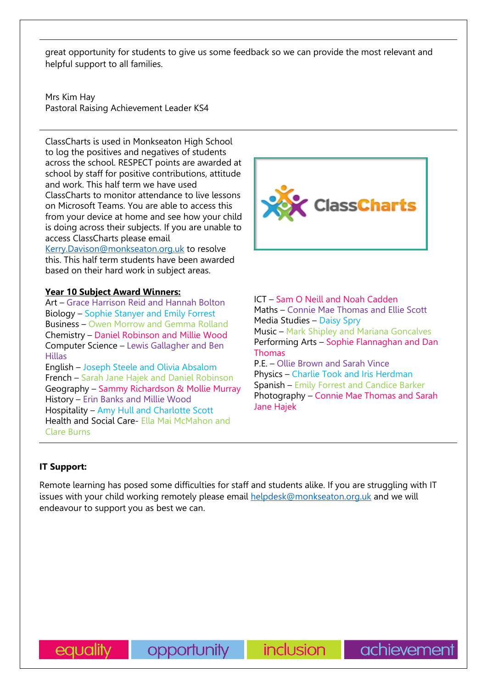great opportunity for students to give us some feedback so we can provide the most relevant and helpful support to all families.

Mrs Kim Hay Pastoral Raising Achievement Leader KS4

ClassCharts is used in Monkseaton High School to log the positives and negatives of students across the school. RESPECT points are awarded at school by staff for positive contributions, attitude and work. This half term we have used ClassCharts to monitor attendance to live lessons on Microsoft Teams. You are able to access this from your device at home and see how your child is doing across their subjects. If you are unable to access ClassCharts please email

[Kerry.Davison@monkseaton.org.uk](mailto:Kerry.Davison@monkseaton.org.uk) to resolve this. This half term students have been awarded based on their hard work in subject areas.

#### **Year 10 Subject Award Winners:**

Art – Grace Harrison Reid and Hannah Bolton Biology – Sophie Stanyer and Emily Forrest Business – Owen Morrow and Gemma Rolland Chemistry – Daniel Robinson and Millie Wood Computer Science – Lewis Gallagher and Ben Hillas English – Joseph Steele and Olivia Absalom

French – Sarah Jane Hajek and Daniel Robinson Geography – Sammy Richardson & Mollie Murray History – Erin Banks and Millie Wood Hospitality – Amy Hull and Charlotte Scott Health and Social Care- Ella Mai McMahon and Clare Burns



ICT – Sam O Neill and Noah Cadden Maths – Connie Mae Thomas and Ellie Scott Media Studies – Daisy Spry Music – Mark Shipley and Mariana Goncalves Performing Arts – Sophie Flannaghan and Dan Thomas P.E. – Ollie Brown and Sarah Vince

Physics – Charlie Took and Iris Herdman Spanish – Emily Forrest and Candice Barker Photography – Connie Mae Thomas and Sarah Jane Hajek

achievement

# **IT Support:**

Remote learning has posed some difficulties for staff and students alike. If you are struggling with IT issues with your child working remotely please email [helpdesk@monkseaton.org.uk](mailto:helpdesk@monkseaton.org.uk) and we will endeavour to support you as best we can.

opportunity

*inclusion*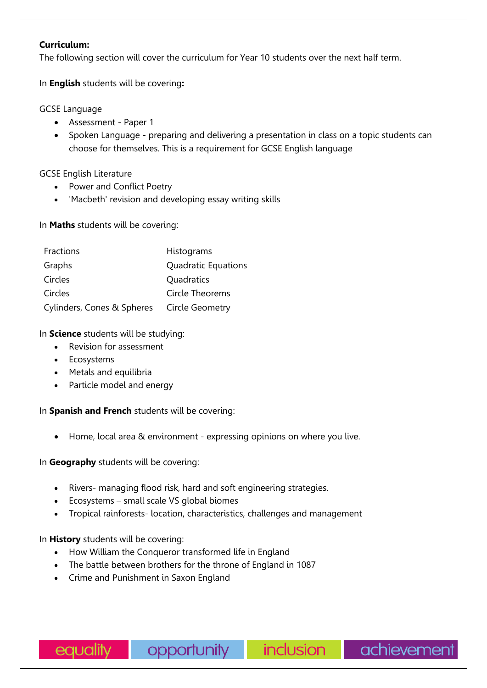## **Curriculum:**

The following section will cover the curriculum for Year 10 students over the next half term.

In **English** students will be covering**:** 

# GCSE Language

- Assessment Paper 1
- Spoken Language preparing and delivering a presentation in class on a topic students can choose for themselves. This is a requirement for GCSE English language

GCSE English Literature

- Power and Conflict Poetry
- 'Macbeth' revision and developing essay writing skills

In **Maths** students will be covering:

| Fractions                  | Histograms          |
|----------------------------|---------------------|
| Graphs                     | Quadratic Equations |
| Circles                    | Quadratics          |
| Circles                    | Circle Theorems     |
| Cylinders, Cones & Spheres | Circle Geometry     |

In **Science** students will be studying:

- Revision for assessment
- Ecosystems
- Metals and equilibria
- Particle model and energy

In **Spanish and French** students will be covering:

• Home, local area & environment - expressing opinions on where you live.

In **Geography** students will be covering:

- Rivers- managing flood risk, hard and soft engineering strategies.
- Ecosystems small scale VS global biomes
- Tropical rainforests- location, characteristics, challenges and management

In **History** students will be covering:

- How William the Conqueror transformed life in England
- The battle between brothers for the throne of England in 1087
- Crime and Punishment in Saxon England

inclusion

achievement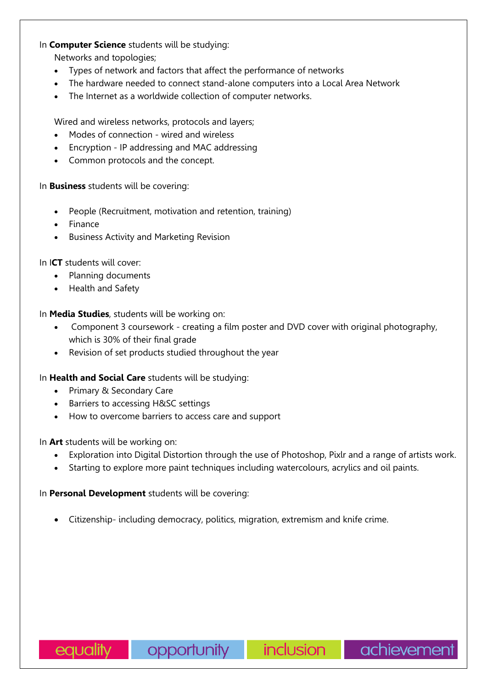# In **Computer Science** students will be studying:

Networks and topologies;

- Types of network and factors that affect the performance of networks
- The hardware needed to connect stand-alone computers into a Local Area Network
- The Internet as a worldwide collection of computer networks.

Wired and wireless networks, protocols and layers;

- Modes of connection wired and wireless
- Encryption IP addressing and MAC addressing
- Common protocols and the concept.

In **Business** students will be covering:

- People (Recruitment, motivation and retention, training)
- Finance
- Business Activity and Marketing Revision

In I**CT** students will cover:

- Planning documents
- Health and Safety

In **Media Studies**, students will be working on:

- Component 3 coursework creating a film poster and DVD cover with original photography, which is 30% of their final grade
- Revision of set products studied throughout the year

In **Health and Social Care** students will be studying:

- Primary & Secondary Care
- Barriers to accessing H&SC settings
- How to overcome barriers to access care and support

In **Art** students will be working on:

- Exploration into Digital Distortion through the use of Photoshop, Pixlr and a range of artists work.
- Starting to explore more paint techniques including watercolours, acrylics and oil paints.

In **Personal Development** students will be covering:

• Citizenship- including democracy, politics, migration, extremism and knife crime.

inclusion |

achievement